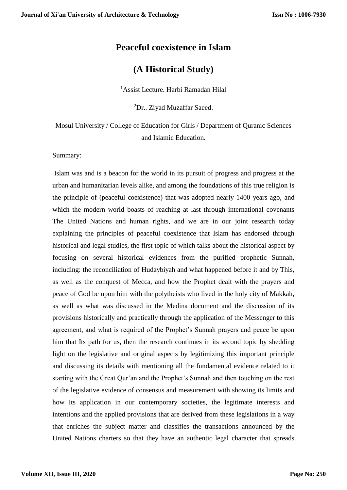# **Peaceful coexistence in Islam**

# **(A Historical Study)**

<sup>1</sup>Assist Lecture. Harbi Ramadan Hilal

<sup>2</sup>Dr.. Ziyad Muzaffar Saeed.

Mosul University / College of Education for Girls / Department of Quranic Sciences and Islamic Education.

Summary:

Islam was and is a beacon for the world in its pursuit of progress and progress at the urban and humanitarian levels alike, and among the foundations of this true religion is the principle of (peaceful coexistence) that was adopted nearly 1400 years ago, and which the modern world boasts of reaching at last through international covenants The United Nations and human rights, and we are in our joint research today explaining the principles of peaceful coexistence that Islam has endorsed through historical and legal studies, the first topic of which talks about the historical aspect by focusing on several historical evidences from the purified prophetic Sunnah, including: the reconciliation of Hudaybiyah and what happened before it and by This, as well as the conquest of Mecca, and how the Prophet dealt with the prayers and peace of God be upon him with the polytheists who lived in the holy city of Makkah, as well as what was discussed in the Medina document and the discussion of its provisions historically and practically through the application of the Messenger to this agreement, and what is required of the Prophet's Sunnah prayers and peace be upon him that Its path for us, then the research continues in its second topic by shedding light on the legislative and original aspects by legitimizing this important principle and discussing its details with mentioning all the fundamental evidence related to it starting with the Great Qur'an and the Prophet's Sunnah and then touching on the rest of the legislative evidence of consensus and measurement with showing its limits and how Its application in our contemporary societies, the legitimate interests and intentions and the applied provisions that are derived from these legislations in a way that enriches the subject matter and classifies the transactions announced by the United Nations charters so that they have an authentic legal character that spreads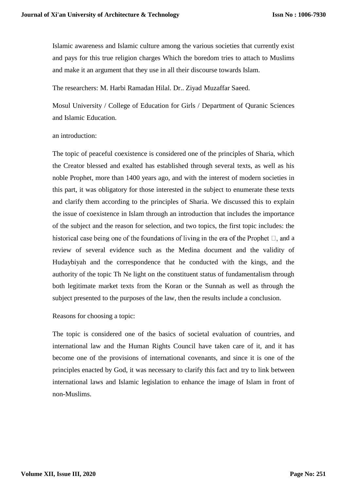Islamic awareness and Islamic culture among the various societies that currently exist and pays for this true religion charges Which the boredom tries to attach to Muslims and make it an argument that they use in all their discourse towards Islam.

The researchers: M. Harbi Ramadan Hilal. Dr.. Ziyad Muzaffar Saeed.

Mosul University / College of Education for Girls / Department of Quranic Sciences and Islamic Education.

### an introduction:

The topic of peaceful coexistence is considered one of the principles of Sharia, which the Creator blessed and exalted has established through several texts, as well as his noble Prophet, more than 1400 years ago, and with the interest of modern societies in this part, it was obligatory for those interested in the subject to enumerate these texts and clarify them according to the principles of Sharia. We discussed this to explain the issue of coexistence in Islam through an introduction that includes the importance of the subject and the reason for selection, and two topics, the first topic includes: the historical case being one of the foundations of living in the era of the Prophet  $\Box$ , and a review of several evidence such as the Medina document and the validity of Hudaybiyah and the correspondence that he conducted with the kings, and the authority of the topic Th Ne light on the constituent status of fundamentalism through both legitimate market texts from the Koran or the Sunnah as well as through the subject presented to the purposes of the law, then the results include a conclusion.

Reasons for choosing a topic:

The topic is considered one of the basics of societal evaluation of countries, and international law and the Human Rights Council have taken care of it, and it has become one of the provisions of international covenants, and since it is one of the principles enacted by God, it was necessary to clarify this fact and try to link between international laws and Islamic legislation to enhance the image of Islam in front of non-Muslims.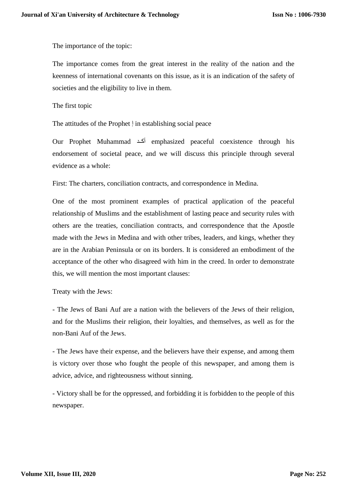The importance of the topic:

The importance comes from the great interest in the reality of the nation and the keenness of international covenants on this issue, as it is an indication of the safety of societies and the eligibility to live in them.

The first topic

The attitudes of the Prophet إ in establishing social peace

Our Prophet Muhammad أكدد emphasized peaceful coexistence through his endorsement of societal peace, and we will discuss this principle through several evidence as a whole:

First: The charters, conciliation contracts, and correspondence in Medina.

One of the most prominent examples of practical application of the peaceful relationship of Muslims and the establishment of lasting peace and security rules with others are the treaties, conciliation contracts, and correspondence that the Apostle made with the Jews in Medina and with other tribes, leaders, and kings, whether they are in the Arabian Peninsula or on its borders. It is considered an embodiment of the acceptance of the other who disagreed with him in the creed. In order to demonstrate this, we will mention the most important clauses:

Treaty with the Jews:

- The Jews of Bani Auf are a nation with the believers of the Jews of their religion, and for the Muslims their religion, their loyalties, and themselves, as well as for the non-Bani Auf of the Jews.

- The Jews have their expense, and the believers have their expense, and among them is victory over those who fought the people of this newspaper, and among them is advice, advice, and righteousness without sinning.

- Victory shall be for the oppressed, and forbidding it is forbidden to the people of this newspaper.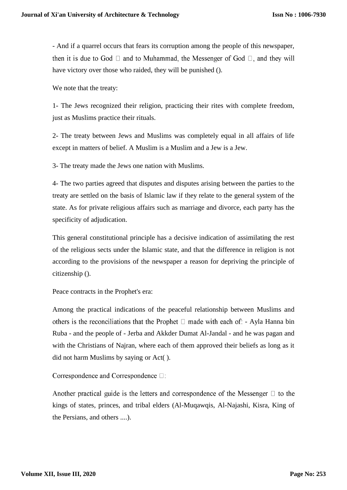- And if a quarrel occurs that fears its corruption among the people of this newspaper, then it is due to God  $\Box$  and to Muhammad, the Messenger of God  $\Box$ , and they will have victory over those who raided, they will be punished ().

We note that the treaty:

1- The Jews recognized their religion, practicing their rites with complete freedom, just as Muslims practice their rituals.

2- The treaty between Jews and Muslims was completely equal in all affairs of life except in matters of belief. A Muslim is a Muslim and a Jew is a Jew.

3- The treaty made the Jews one nation with Muslims.

4- The two parties agreed that disputes and disputes arising between the parties to the treaty are settled on the basis of Islamic law if they relate to the general system of the state. As for private religious affairs such as marriage and divorce, each party has the specificity of adjudication.

This general constitutional principle has a decisive indication of assimilating the rest of the religious sects under the Islamic state, and that the difference in religion is not according to the provisions of the newspaper a reason for depriving the principle of citizenship ().

Peace contracts in the Prophet's era:

Among the practical indications of the peaceful relationship between Muslims and others is the reconciliations that the Prophet  $\Box$  made with each of: - Ayla Hanna bin Ruba - and the people of - Jerba and Akkder Dumat Al-Jandal - and he was pagan and with the Christians of Najran, where each of them approved their beliefs as long as it did not harm Muslims by saying or Act( ).

Correspondence and Correspondence  $\square$ :

Another practical guide is the letters and correspondence of the Messenger  $\Box$  to the kings of states, princes, and tribal elders (Al-Muqawqis, Al-Najashi, Kisra, King of the Persians, and others ....).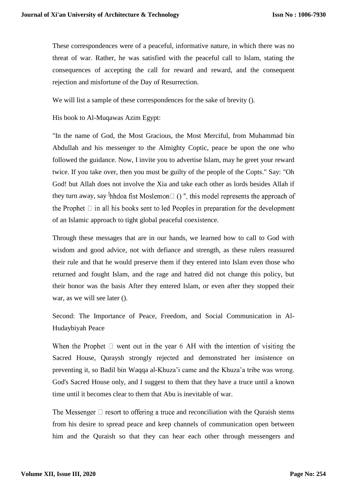These correspondences were of a peaceful, informative nature, in which there was no threat of war. Rather, he was satisfied with the peaceful call to Islam, stating the consequences of accepting the call for reward and reward, and the consequent rejection and misfortune of the Day of Resurrection.

We will list a sample of these correspondences for the sake of brevity ().

His book to Al-Muqawas Azim Egypt:

"In the name of God, the Most Gracious, the Most Merciful, from Muhammad bin Abdullah and his messenger to the Almighty Coptic, peace be upon the one who followed the guidance. Now, I invite you to advertise Islam, may he greet your reward twice. If you take over, then you must be guilty of the people of the Copts." Say: "Oh God! but Allah does not involve the Xia and take each other as lords besides Allah if they turn away, say Ihhdoa fist Moslemon $\Box$  ()", this model represents the approach of the Prophet  $\Box$  in all his books sent to led Peoples in preparation for the development of an Islamic approach to tight global peaceful coexistence.

Through these messages that are in our hands, we learned how to call to God with wisdom and good advice, not with defiance and strength, as these rulers reassured their rule and that he would preserve them if they entered into Islam even those who returned and fought Islam, and the rage and hatred did not change this policy, but their honor was the basis After they entered Islam, or even after they stopped their war, as we will see later ().

Second: The Importance of Peace, Freedom, and Social Communication in Al-Hudaybiyah Peace

When the Prophet  $\Box$  went out in the year 6 AH with the intention of visiting the Sacred House, Quraysh strongly rejected and demonstrated her insistence on preventing it, so Badil bin Waqqa al-Khuza'i came and the Khuza'a tribe was wrong. God's Sacred House only, and I suggest to them that they have a truce until a known time until it becomes clear to them that Abu is inevitable of war.

The Messenger  $\Box$  resort to offering a truce and reconciliation with the Quraish stems from his desire to spread peace and keep channels of communication open between him and the Quraish so that they can hear each other through messengers and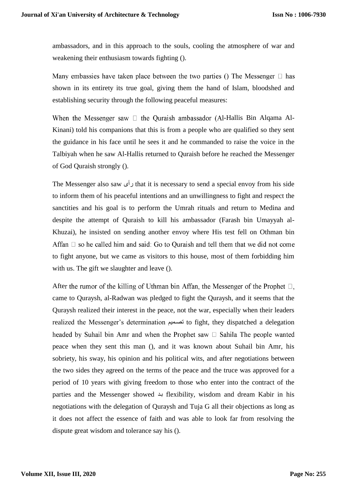ambassadors, and in this approach to the souls, cooling the atmosphere of war and weakening their enthusiasm towards fighting ().

Many embassies have taken place between the two parties () The Messenger  $\Box$  has shown in its entirety its true goal, giving them the hand of Islam, bloodshed and establishing security through the following peaceful measures:

When the Messenger saw  $\Box$  the Quraish ambassador (Al-Hallis Bin Alqama Al-Kinani) told his companions that this is from a people who are qualified so they sent the guidance in his face until he sees it and he commanded to raise the voice in the Talbiyah when he saw Al-Hallis returned to Quraish before he reached the Messenger of God Quraish strongly ().

The Messenger also saw رأى that it is necessary to send a special envoy from his side to inform them of his peaceful intentions and an unwillingness to fight and respect the sanctities and his goal is to perform the Umrah rituals and return to Medina and despite the attempt of Quraish to kill his ambassador (Farash bin Umayyah al-Khuzai), he insisted on sending another envoy where His test fell on Othman bin Affan  $\Box$  so he called him and said: Go to Quraish and tell them that we did not come to fight anyone, but we came as visitors to this house, most of them forbidding him with us. The gift we slaughter and leave ().

After the rumor of the killing of Uthman bin Affan, the Messenger of the Prophet  $\Box$ , came to Quraysh, al-Radwan was pledged to fight the Quraysh, and it seems that the Quraysh realized their interest in the peace, not the war, especially when their leaders realized the Messenger's determination تصديم to fight, they dispatched a delegation headed by Suhail bin Amr and when the Prophet saw  $\Box$  Sahila The people wanted peace when they sent this man (), and it was known about Suhail bin Amr, his sobriety, his sway, his opinion and his political wits, and after negotiations between the two sides they agreed on the terms of the peace and the truce was approved for a period of 10 years with giving freedom to those who enter into the contract of the parties and the Messenger showed  $\rightarrow$  flexibility, wisdom and dream Kabir in his negotiations with the delegation of Quraysh and Tuja G all their objections as long as it does not affect the essence of faith and was able to look far from resolving the dispute great wisdom and tolerance say his ().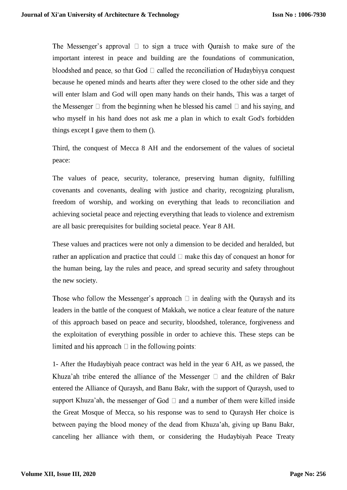The Messenger's approval  $\Box$  to sign a truce with Quraish to make sure of the important interest in peace and building are the foundations of communication, bloodshed and peace, so that God  $\Box$  called the reconciliation of Hudaybiyya conquest because he opened minds and hearts after they were closed to the other side and they will enter Islam and God will open many hands on their hands, This was a target of the Messenger  $\Box$  from the beginning when he blessed his camel  $\Box$  and his saying, and who myself in his hand does not ask me a plan in which to exalt God's forbidden things except I gave them to them ().

Third, the conquest of Mecca 8 AH and the endorsement of the values of societal peace:

The values of peace, security, tolerance, preserving human dignity, fulfilling covenants and covenants, dealing with justice and charity, recognizing pluralism, freedom of worship, and working on everything that leads to reconciliation and achieving societal peace and rejecting everything that leads to violence and extremism are all basic prerequisites for building societal peace. Year 8 AH.

These values and practices were not only a dimension to be decided and heralded, but rather an application and practice that could  $\Box$  make this day of conquest an honor for the human being, lay the rules and peace, and spread security and safety throughout the new society.

Those who follow the Messenger's approach  $\Box$  in dealing with the Quraysh and its leaders in the battle of the conquest of Makkah, we notice a clear feature of the nature of this approach based on peace and security, bloodshed, tolerance, forgiveness and the exploitation of everything possible in order to achieve this. These steps can be limited and his approach  $\Box$  in the following points:

1- After the Hudaybiyah peace contract was held in the year 6 AH, as we passed, the Khuza'ah tribe entered the alliance of the Messenger  $\Box$  and the children of Bakr entered the Alliance of Quraysh, and Banu Bakr, with the support of Quraysh, used to support Khuza'ah, the messenger of God  $\Box$  and a number of them were killed inside the Great Mosque of Mecca, so his response was to send to Quraysh Her choice is between paying the blood money of the dead from Khuza'ah, giving up Banu Bakr, canceling her alliance with them, or considering the Hudaybiyah Peace Treaty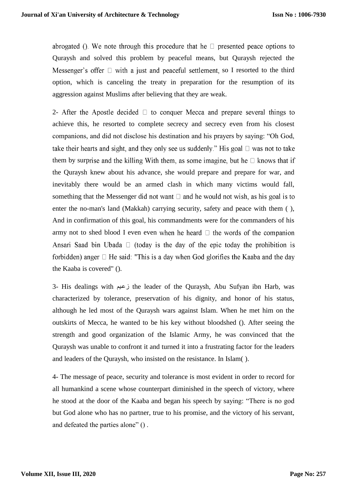abrogated (). We note through this procedure that he  $\Box$  presented peace options to Quraysh and solved this problem by peaceful means, but Quraysh rejected the Messenger's offer  $\Box$  with a just and peaceful settlement, so I resorted to the third option, which is canceling the treaty in preparation for the resumption of its aggression against Muslims after believing that they are weak.

2- After the Apostle decided  $\Box$  to conquer Mecca and prepare several things to achieve this, he resorted to complete secrecy and secrecy even from his closest companions, and did not disclose his destination and his prayers by saying: "Oh God, take their hearts and sight, and they only see us suddenly." His goal  $\Box$  was not to take them by surprise and the killing With them, as some imagine, but he  $\Box$  knows that if the Quraysh knew about his advance, she would prepare and prepare for war, and inevitably there would be an armed clash in which many victims would fall, something that the Messenger did not want  $\Box$  and he would not wish, as his goal is to enter the no-man's land (Makkah) carrying security, safety and peace with them ( ), And in confirmation of this goal, his commandments were for the commanders of his army not to shed blood I even even when he heard  $\Box$  the words of the companion Ansari Saad bin Ubada  $\Box$  (today is the day of the epic today the prohibition is forbidden) anger  $\Box$  He said: "This is a day when God glorifies the Kaaba and the day the Kaaba is covered" ().

3- His dealings with زعدم the leader of the Quraysh, Abu Sufyan ibn Harb, was characterized by tolerance, preservation of his dignity, and honor of his status, although he led most of the Quraysh wars against Islam. When he met him on the outskirts of Mecca, he wanted to be his key without bloodshed (). After seeing the strength and good organization of the Islamic Army, he was convinced that the Quraysh was unable to confront it and turned it into a frustrating factor for the leaders and leaders of the Quraysh, who insisted on the resistance. In Islam( ).

4- The message of peace, security and tolerance is most evident in order to record for all humankind a scene whose counterpart diminished in the speech of victory, where he stood at the door of the Kaaba and began his speech by saying: "There is no god but God alone who has no partner, true to his promise, and the victory of his servant, and defeated the parties alone" () .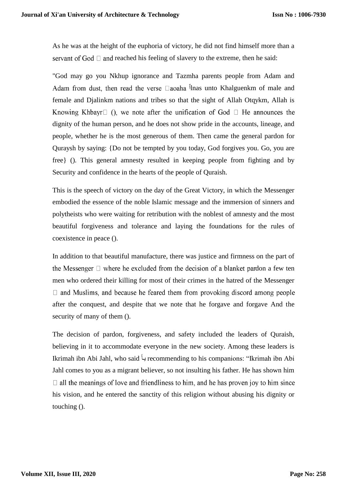As he was at the height of the euphoria of victory, he did not find himself more than a servant of God  $\Box$  and reached his feeling of slavery to the extreme, then he said:

"God may go you Nkhup ignorance and Tazmha parents people from Adam and Adam from dust, then read the verse  $\Box$ aoaha  $\overline{I}$ lnas unto Khalguenkm of male and female and Djalinkm nations and tribes so that the sight of Allah Otqykm, Allah is Knowing Khbayr $\Box$  (), we note after the unification of God  $\Box$  He announces the dignity of the human person, and he does not show pride in the accounts, lineage, and people, whether he is the most generous of them. Then came the general pardon for Quraysh by saying: {Do not be tempted by you today, God forgives you. Go, you are free} (). This general amnesty resulted in keeping people from fighting and by Security and confidence in the hearts of the people of Quraish.

This is the speech of victory on the day of the Great Victory, in which the Messenger embodied the essence of the noble Islamic message and the immersion of sinners and polytheists who were waiting for retribution with the noblest of amnesty and the most beautiful forgiveness and tolerance and laying the foundations for the rules of coexistence in peace ().

In addition to that beautiful manufacture, there was justice and firmness on the part of the Messenger  $\Box$  where he excluded from the decision of a blanket pardon a few ten men who ordered their killing for most of their crimes in the hatred of the Messenger  $\Box$  and Muslims, and because he feared them from provoking discord among people after the conquest, and despite that we note that he forgave and forgave And the security of many of them ().

The decision of pardon, forgiveness, and safety included the leaders of Quraish, believing in it to accommodate everyone in the new society. Among these leaders is Ikrimah ibn Abi Jahl, who said يد recommending to his companions: "Ikrimah ibn Abi Jahl comes to you as a migrant believer, so not insulting his father. He has shown him  $\Box$  all the meanings of love and friendliness to him, and he has proven joy to him since his vision, and he entered the sanctity of this religion without abusing his dignity or touching ().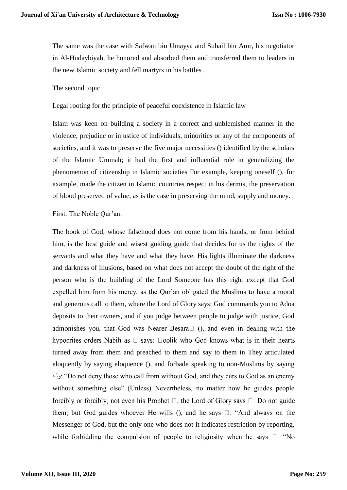The same was the case with Safwan bin Umayya and Suhail bin Amr, his negotiator in Al-Hudaybiyah, he honored and absorbed them and transferred them to leaders in the new Islamic society and fell martyrs in his battles .

#### The second topic

Legal rooting for the principle of peaceful coexistence in Islamic law

Islam was keen on building a society in a correct and unblemished manner in the violence, prejudice or injustice of individuals, minorities or any of the components of societies, and it was to preserve the five major necessities () identified by the scholars of the Islamic Ummah; it had the first and influential role in generalizing the phenomenon of citizenship in Islamic societies For example, keeping oneself (), for example, made the citizen in Islamic countries respect in his dermis, the preservation of blood preserved of value, as is the case in preserving the mind, supply and money.

First: The Noble Qur'an:

The book of God, whose falsehood does not come from his hands, or from behind him, is the best guide and wisest guiding guide that decides for us the rights of the servants and what they have and what they have. His lights illuminate the darkness and darkness of illusions, based on what does not accept the doubt of the right of the person who is the building of the Lord Someone has this right except that God expelled him from his mercy, as the Qur'an obligated the Muslims to have a moral and generous call to them, where the Lord of Glory says: God commands you to Adoa deposits to their owners, and if you judge between people to judge with justice, God admonishes you, that God was Nearer Besara $\Box$  (), and even in dealing with the hypocrites orders Nabih as  $\Box$  says:  $\Box$ oolik who God knows what is in their hearts turned away from them and preached to them and say to them in They articulated eloquently by saying eloquence (), and forbade speaking to non-Muslims by saying ولد:" Do not deny those who call from without God, and they curs to God as an enemy without something else" (Unless) Nevertheless, no matter how he guides people forcibly or forcibly, not even his Prophet  $\Box$ , the Lord of Glory says  $\Box$ : Do not guide them, but God guides whoever He wills (), and he says  $\Box$ : "And always on the Messenger of God, but the only one who does not It indicates restriction by reporting, while forbidding the compulsion of people to religiosity when he says  $\Box$ : "No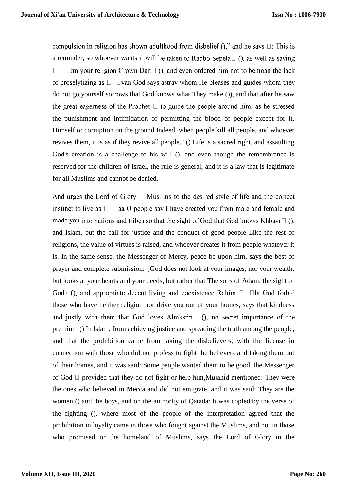compulsion in religion has shown adulthood from disbelief  $()$ ," and he says  $\square$ : This is a reminder, so whoever wants it will be taken to Rabbo Sepela $\Box$  (), as well as saying  $\Box$ :  $\Box$ lkm your religion Crown Dan $\Box$  (), and even ordered him not to bemoan the lack of proselytizing as  $\Box$ :  $\Box$ van God says astray whom He pleases and guides whom they do not go yourself sorrows that God knows what They make ()), and that after he saw the great eagerness of the Prophet  $\Box$  to guide the people around him, as he stressed the punishment and intimidation of permitting the blood of people except for it. Himself or corruption on the ground Indeed, when people kill all people, and whoever revives them, it is as if they revive all people. "() Life is a sacred right, and assaulting God's creation is a challenge to his will (), and even though the remembrance is reserved for the children of Israel, the rule is general, and it is a law that is legitimate for all Muslims and cannot be denied.

And urges the Lord of Glory  $\Box$  Muslims to the desired style of life and the correct instinct to live as  $\Box$ :  $\Box$ aa O people say I have created vou from male and female and made you into nations and tribes so that the sight of God that God knows Khbayr $\Box$  (). and Islam, but the call for justice and the conduct of good people Like the rest of religions, the value of virtues is raised, and whoever creates it from people whatever it is. In the same sense, the Messenger of Mercy, peace be upon him, says the best of prayer and complete submission: {God does not look at your images, nor your wealth, but looks at your hearts and your deeds, but rather that The sons of Adam, the sight of God} (), and appropriate decent living and coexistence Rahim  $\Box$ :  $\Box$ la God forbid those who have neither religion nor drive you out of your homes, says that kindness and justly with them that God loves Almkstin $\Box$  (), no secret importance of the premium () In Islam, from achieving justice and spreading the truth among the people, and that the prohibition came from taking the disbelievers, with the license in connection with those who did not profess to fight the believers and taking them out of their homes, and it was said: Some people wanted them to be good, the Messenger of God  $\Box$  provided that they do not fight or help him. Mujahid mentioned: They were the ones who believed in Mecca and did not emigrate, and it was said: They are the women () and the boys, and on the authority of Qatada: it was copied by the verse of the fighting (), where most of the people of the interpretation agreed that the prohibition in loyalty came in those who fought against the Muslims, and not in those who promised or the homeland of Muslims, says the Lord of Glory in the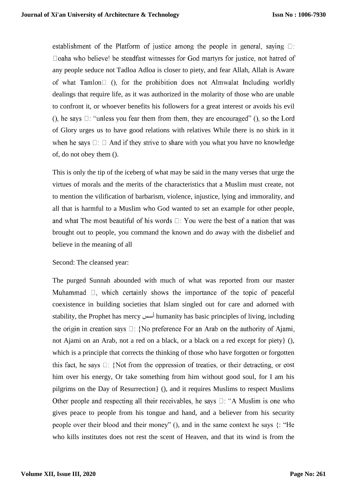establishment of the Platform of justice among the people in general, saying  $\Box$ : □ oaha who believe! be steadfast witnesses for God martyrs for justice, not hatred of any people seduce not Tadloa Adloa is closer to piety, and fear Allah, Allah is Aware of what Tamlon $\Box$  (), for the prohibition does not Almwalat Including worldly dealings that require life, as it was authorized in the molarity of those who are unable to confront it, or whoever benefits his followers for a great interest or avoids his evil (), he says  $\Box$ : "unless you fear them from them, they are encouraged" (), so the Lord of Glory urges us to have good relations with relatives While there is no shirk in it when he says  $\Box$ :  $\Box$  And if they strive to share with you what you have no knowledge of, do not obey them ().

This is only the tip of the iceberg of what may be said in the many verses that urge the virtues of morals and the merits of the characteristics that a Muslim must create, not to mention the vilification of barbarism, violence, injustice, lying and immorality, and all that is harmful to a Muslim who God wanted to set an example for other people, and what The most beautiful of his words  $\Box$ : You were the best of a nation that was brought out to people, you command the known and do away with the disbelief and believe in the meaning of all

### Second: The cleansed year:

The purged Sunnah abounded with much of what was reported from our master Muhammad  $\Box$ , which certainly shows the importance of the topic of peaceful coexistence in building societies that Islam singled out for care and adorned with stability, the Prophet has mercy أسبس humanity has basic principles of living, including the origin in creation says  $\Box$ : {No preference For an Arab on the authority of Ajami, not Ajami on an Arab, not a red on a black, or a black on a red except for piety} (), which is a principle that corrects the thinking of those who have forgotten or forgotten this fact, he says  $\Box$ : {Not from the oppression of treaties, or their detracting, or cost him over his energy, Or take something from him without good soul, for I am his pilgrims on the Day of Resurrection} (), and it requires Muslims to respect Muslims Other people and respecting all their receivables, he says  $\Box$ : "A Muslim is one who gives peace to people from his tongue and hand, and a believer from his security people over their blood and their money" (), and in the same context he says {: "He who kills institutes does not rest the scent of Heaven, and that its wind is from the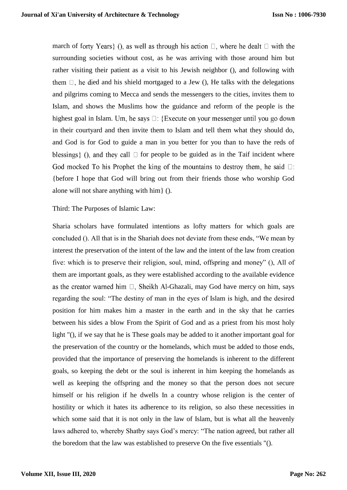march of forty Years  $\}$  (), as well as through his action  $\Box$ , where he dealt  $\Box$  with the surrounding societies without cost, as he was arriving with those around him but rather visiting their patient as a visit to his Jewish neighbor (), and following with them  $\Box$ , he died and his shield mortgaged to a Jew (), He talks with the delegations and pilgrims coming to Mecca and sends the messengers to the cities, invites them to Islam, and shows the Muslims how the guidance and reform of the people is the highest goal in Islam. Um, he says  $\Box$ : {Execute on your messenger until you go down in their courtyard and then invite them to Islam and tell them what they should do, and God is for God to guide a man in you better for you than to have the reds of blessings  $\}$  (), and they call  $\Box$  for people to be guided as in the Taif incident where God mocked To his Prophet the king of the mountains to destroy them, he said  $\Box$ : {before I hope that God will bring out from their friends those who worship God alone will not share anything with him} ().

Third: The Purposes of Islamic Law:

Sharia scholars have formulated intentions as lofty matters for which goals are concluded (). All that is in the Shariah does not deviate from these ends, "We mean by interest the preservation of the intent of the law and the intent of the law from creation five: which is to preserve their religion, soul, mind, offspring and money" (), All of them are important goals, as they were established according to the available evidence as the creator warned him  $\Box$ , Sheikh Al-Ghazali, may God have mercy on him, says regarding the soul: "The destiny of man in the eyes of Islam is high, and the desired position for him makes him a master in the earth and in the sky that he carries between his sides a blow From the Spirit of God and as a priest from his most holy light "(), if we say that he is These goals may be added to it another important goal for the preservation of the country or the homelands, which must be added to those ends, provided that the importance of preserving the homelands is inherent to the different goals, so keeping the debt or the soul is inherent in him keeping the homelands as well as keeping the offspring and the money so that the person does not secure himself or his religion if he dwells In a country whose religion is the center of hostility or which it hates its adherence to its religion, so also these necessities in which some said that it is not only in the law of Islam, but is what all the heavenly laws adhered to, whereby Shatby says God's mercy: "The nation agreed, but rather all the boredom that the law was established to preserve On the five essentials "().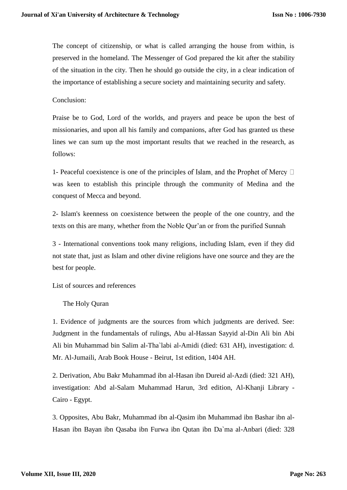The concept of citizenship, or what is called arranging the house from within, is preserved in the homeland. The Messenger of God prepared the kit after the stability of the situation in the city. Then he should go outside the city, in a clear indication of the importance of establishing a secure society and maintaining security and safety.

Conclusion:

Praise be to God, Lord of the worlds, and prayers and peace be upon the best of missionaries, and upon all his family and companions, after God has granted us these lines we can sum up the most important results that we reached in the research, as follows:

1- Peaceful coexistence is one of the principles of Islam, and the Prophet of Mercy  $\Box$ was keen to establish this principle through the community of Medina and the conquest of Mecca and beyond.

2- Islam's keenness on coexistence between the people of the one country, and the texts on this are many, whether from the Noble Qur'an or from the purified Sunnah

3 - International conventions took many religions, including Islam, even if they did not state that, just as Islam and other divine religions have one source and they are the best for people.

List of sources and references

The Holy Quran

1. Evidence of judgments are the sources from which judgments are derived. See: Judgment in the fundamentals of rulings, Abu al-Hassan Sayyid al-Din Ali bin Abi Ali bin Muhammad bin Salim al-Tha`labi al-Amidi (died: 631 AH), investigation: d. Mr. Al-Jumaili, Arab Book House - Beirut, 1st edition, 1404 AH.

2. Derivation, Abu Bakr Muhammad ibn al-Hasan ibn Dureid al-Azdi (died: 321 AH), investigation: Abd al-Salam Muhammad Harun, 3rd edition, Al-Khanji Library - Cairo - Egypt.

3. Opposites, Abu Bakr, Muhammad ibn al-Qasim ibn Muhammad ibn Bashar ibn al-Hasan ibn Bayan ibn Qasaba ibn Furwa ibn Qutan ibn Da`ma al-Anbari (died: 328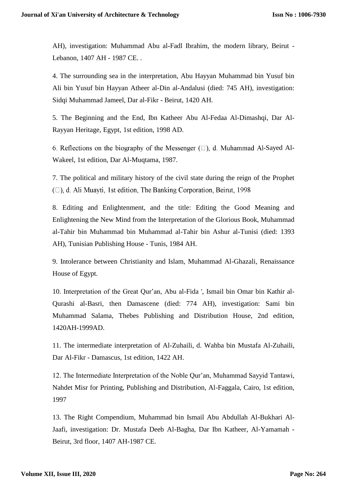AH), investigation: Muhammad Abu al-Fadl Ibrahim, the modern library, Beirut - Lebanon, 1407 AH - 1987 CE. .

4. The surrounding sea in the interpretation, Abu Hayyan Muhammad bin Yusuf bin Ali bin Yusuf bin Hayyan Atheer al-Din al-Andalusi (died: 745 AH), investigation: Sidqi Muhammad Jameel, Dar al-Fikr - Beirut, 1420 AH.

5. The Beginning and the End, Ibn Katheer Abu Al-Fedaa Al-Dimashqi, Dar Al-Rayyan Heritage, Egypt, 1st edition, 1998 AD.

6. Reflections on the biography of the Messenger  $(\square)$ , d. Muhammad Al-Sayed Al-Wakeel, 1st edition, Dar Al-Muqtama, 1987.

7. The political and military history of the civil state during the reign of the Prophet ( $\square$ ), d. Ali Muayti, 1st edition, The Banking Corporation, Beirut, 1998

8. Editing and Enlightenment, and the title: Editing the Good Meaning and Enlightening the New Mind from the Interpretation of the Glorious Book, Muhammad al-Tahir bin Muhammad bin Muhammad al-Tahir bin Ashur al-Tunisi (died: 1393 AH), Tunisian Publishing House - Tunis, 1984 AH.

9. Intolerance between Christianity and Islam, Muhammad Al-Ghazali, Renaissance House of Egypt.

10. Interpretation of the Great Qur'an, Abu al-Fida ', Ismail bin Omar bin Kathir al-Qurashi al-Basri, then Damascene (died: 774 AH), investigation: Sami bin Muhammad Salama, Thebes Publishing and Distribution House, 2nd edition, 1420AH-1999AD.

11. The intermediate interpretation of Al-Zuhaili, d. Wahba bin Mustafa Al-Zuhaili, Dar Al-Fikr - Damascus, 1st edition, 1422 AH.

12. The Intermediate Interpretation of the Noble Qur'an, Muhammad Sayyid Tantawi, Nahdet Misr for Printing, Publishing and Distribution, Al-Faggala, Cairo, 1st edition, 1997

13. The Right Compendium, Muhammad bin Ismail Abu Abdullah Al-Bukhari Al-Jaafi, investigation: Dr. Mustafa Deeb Al-Bagha, Dar Ibn Katheer, Al-Yamamah - Beirut, 3rd floor, 1407 AH-1987 CE.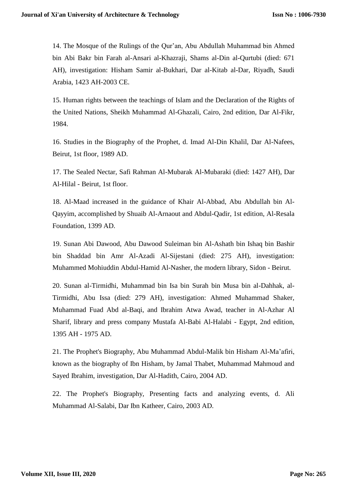14. The Mosque of the Rulings of the Qur'an, Abu Abdullah Muhammad bin Ahmed bin Abi Bakr bin Farah al-Ansari al-Khazraji, Shams al-Din al-Qurtubi (died: 671 AH), investigation: Hisham Samir al-Bukhari, Dar al-Kitab al-Dar, Riyadh, Saudi Arabia, 1423 AH-2003 CE.

15. Human rights between the teachings of Islam and the Declaration of the Rights of the United Nations, Sheikh Muhammad Al-Ghazali, Cairo, 2nd edition, Dar Al-Fikr, 1984.

16. Studies in the Biography of the Prophet, d. Imad Al-Din Khalil, Dar Al-Nafees, Beirut, 1st floor, 1989 AD.

17. The Sealed Nectar, Safi Rahman Al-Mubarak Al-Mubaraki (died: 1427 AH), Dar Al-Hilal - Beirut, 1st floor.

18. Al-Maad increased in the guidance of Khair Al-Abbad, Abu Abdullah bin Al-Qayyim, accomplished by Shuaib Al-Arnaout and Abdul-Qadir, 1st edition, Al-Resala Foundation, 1399 AD.

19. Sunan Abi Dawood, Abu Dawood Suleiman bin Al-Ashath bin Ishaq bin Bashir bin Shaddad bin Amr Al-Azadi Al-Sijestani (died: 275 AH), investigation: Muhammed Mohiuddin Abdul-Hamid Al-Nasher, the modern library, Sidon - Beirut.

20. Sunan al-Tirmidhi, Muhammad bin Isa bin Surah bin Musa bin al-Dahhak, al-Tirmidhi, Abu Issa (died: 279 AH), investigation: Ahmed Muhammad Shaker, Muhammad Fuad Abd al-Baqi, and Ibrahim Atwa Awad, teacher in Al-Azhar Al Sharif, library and press company Mustafa Al-Babi Al-Halabi - Egypt, 2nd edition, 1395 AH - 1975 AD.

21. The Prophet's Biography, Abu Muhammad Abdul-Malik bin Hisham Al-Ma'afiri, known as the biography of Ibn Hisham, by Jamal Thabet, Muhammad Mahmoud and Sayed Ibrahim, investigation, Dar Al-Hadith, Cairo, 2004 AD.

22. The Prophet's Biography, Presenting facts and analyzing events, d. Ali Muhammad Al-Salabi, Dar Ibn Katheer, Cairo, 2003 AD.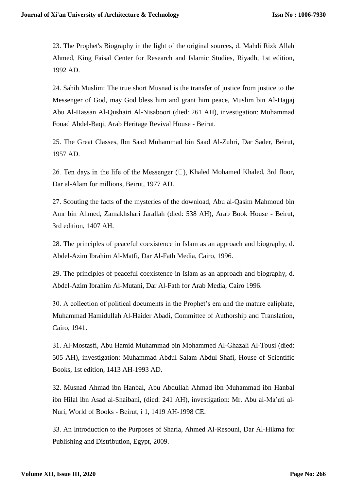23. The Prophet's Biography in the light of the original sources, d. Mahdi Rizk Allah Ahmed, King Faisal Center for Research and Islamic Studies, Riyadh, 1st edition, 1992 AD.

24. Sahih Muslim: The true short Musnad is the transfer of justice from justice to the Messenger of God, may God bless him and grant him peace, Muslim bin Al-Hajjaj Abu Al-Hassan Al-Qushairi Al-Nisaboori (died: 261 AH), investigation: Muhammad Fouad Abdel-Baqi, Arab Heritage Revival House - Beirut.

25. The Great Classes, Ibn Saad Muhammad bin Saad Al-Zuhri, Dar Sader, Beirut, 1957 AD.

26. Ten days in the life of the Messenger  $(\square)$ , Khaled Mohamed Khaled, 3rd floor, Dar al-Alam for millions, Beirut, 1977 AD.

27. Scouting the facts of the mysteries of the download, Abu al-Qasim Mahmoud bin Amr bin Ahmed, Zamakhshari Jarallah (died: 538 AH), Arab Book House - Beirut, 3rd edition, 1407 AH.

28. The principles of peaceful coexistence in Islam as an approach and biography, d. Abdel-Azim Ibrahim Al-Matfi, Dar Al-Fath Media, Cairo, 1996.

29. The principles of peaceful coexistence in Islam as an approach and biography, d. Abdel-Azim Ibrahim Al-Mutani, Dar Al-Fath for Arab Media, Cairo 1996.

30. A collection of political documents in the Prophet's era and the mature caliphate, Muhammad Hamidullah Al-Haider Abadi, Committee of Authorship and Translation, Cairo, 1941.

31. Al-Mostasfi, Abu Hamid Muhammad bin Mohammed Al-Ghazali Al-Tousi (died: 505 AH), investigation: Muhammad Abdul Salam Abdul Shafi, House of Scientific Books, 1st edition, 1413 AH-1993 AD.

32. Musnad Ahmad ibn Hanbal, Abu Abdullah Ahmad ibn Muhammad ibn Hanbal ibn Hilal ibn Asad al-Shaibani, (died: 241 AH), investigation: Mr. Abu al-Ma'ati al-Nuri, World of Books - Beirut, i 1, 1419 AH-1998 CE.

33. An Introduction to the Purposes of Sharia, Ahmed Al-Resouni, Dar Al-Hikma for Publishing and Distribution, Egypt, 2009.